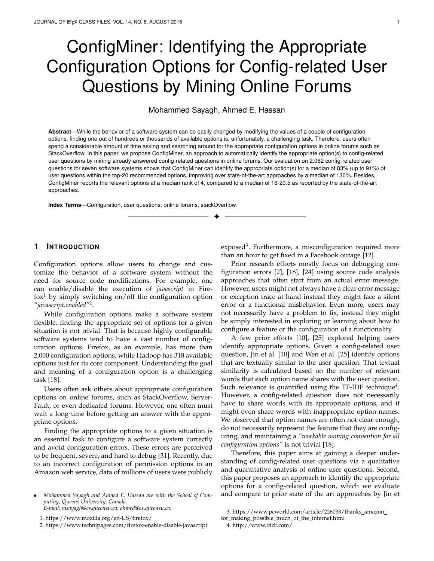# ConfigMiner: Identifying the Appropriate Configuration Options for Config-related User Questions by Mining Online Forums

# Mohammed Sayagh, Ahmed E. Hassan

**Abstract**—While the behavior of a software system can be easily changed by modifying the values of a couple of configuration options, finding one out of hundreds or thousands of available options is, unfortunately, a challenging task. Therefore, users often spend a considerable amount of time asking and searching around for the appropriate configuration options in online forums such as StackOverflow. In this paper, we propose ConfigMiner, an approach to automatically identify the appropriate option(s) to config-related user questions by mining already-answered config-related questions in online forums. Our evaluation on 2,062 config-related user questions for seven software systems shows that ConfigMiner can identify the appropriate option(s) for a median of 83% (up to 91%) of user questions within the top-20 recommended options, improving over state-of-the-art approaches by a median of 130%. Besides, ConfigMiner reports the relevant options at a median rank of 4, compared to a median of 16-20.5 as reported by the state-of-the-art approaches.

✦

**Index Terms**—Configuration, user questions, online forums, stackOverflow.

# **1 INTRODUCTION**

Configuration options allow users to change and customize the behavior of a software system without the need for source code modifications. For example, one can enable/disable the execution of *javascript* in Fire $f$ ox<sup>1</sup> by simply switching on/off the configuration option *"javascript.enabled"*<sup>2</sup> .

While configuration options make a software system flexible, finding the appropriate set of options for a given situation is not trivial. That is because highly configurable software systems tend to have a vast number of configuration options. Firefox, as an example, has more than 2,000 configuration options, while Hadoop has 318 available options just for its core component. Understanding the goal and meaning of a configuration option is a challenging task [18].

Users often ask others about appropriate configuration options on online forums, such as StackOverflow, Server-Fault, or even dedicated forums. However, one often must wait a long time before getting an answer with the appropriate options.

Finding the appropriate options to a given situation is an essential task to configure a software system correctly and avoid configuration errors. These errors are perceived to be frequent, severe, and hard to debug [31]. Recently, due to an incorrect configuration of permission options in an Amazon web service, data of millions of users were publicly

exposed<sup>3</sup>. Furthermore, a misconfiguration required more than an hour to get fixed in a Facebook outage [12].

Prior research efforts mostly focus on debugging configuration errors [2], [18], [24] using source code analysis approaches that often start from an actual error message. However, users might not always have a clear error message or exception trace at hand instead they might face a silent error or a functional misbehavior. Even more, users may not necessarily have a problem to fix, instead they might be simply interested in exploring or learning about how to configure a feature or the configuration of a functionality.

A few prior efforts [10], [25] explored helping users identify appropriate options. Given a config-related user question, Jin et al. [10] and Wen et al. [25] identify options that are textually similar to the user question. That textual similarity is calculated based on the number of relevant words that each option name shares with the user question. Such relevance is quantified using the TF-IDF technique $^4$ . However, a config-related question does not necessarily have to share words with its appropriate options, and it might even share words with inappropriate option names. We observed that option names are often not clear enough, do not necessarily represent the feature that they are configuring, and maintaining a *"workable naming convention for all configuration options"* is not trivial [18].

Therefore, this paper aims at gaining a deeper understanding of config-related user questions via a qualitative and quantitative analysis of online user questions. Second, this paper proposes an approach to identify the appropriate options for a config-related question, which we evaluate and compare to prior state of the art approaches by Jin et

<sup>•</sup> *Mohammed Sayagh and Ahmed E. Hassan are with the School of Computing, Queens University, Canada. E-mail: msayagh@cs.queensu.ca, ahmed@cs.queensu.ca.*

<sup>1.</sup> https://www.mozilla.org/en-US/firefox/

<sup>2.</sup> https://www.technipages.com/firefox-enable-disable-javascript

<sup>3.</sup> https://www.pcworld.com/article/226033/thanks amazon

for\_making\_possible\_much\_of\_the\_internet.html

<sup>4.</sup> http://www.tfidf.com/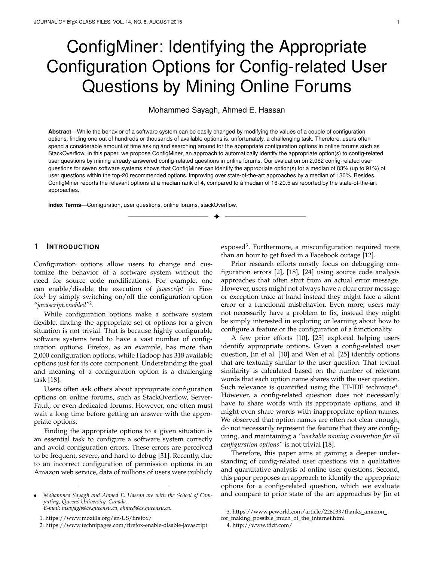al. [10] and Wen et al. [25] as well as a basic Google search approach. We summarize our contributions as follow:

> A qualitative analysis to better understand the types of config-related questions that users ask in forums. We found that in addition to questions about errors with an explicit message or exception trace, users commonly (25% of the studied questions) ask about how to solve misbehaviors that do not have any associated error messages (such messages can be used as input for existing configuration debugging approaches, e.g., [6], [17]), and ask about how to configure a functionality in general.

> A quantitative analysis of 2,062 configuration conversations to understand the elapsed time to receive an answer with the appropriate options. We found that one can wait for a median of around 4.75 hours before getting the appropriate answer, which suggests that even if one might receive an accurate answer in an online forum, waiting for an answer is time consuming for the three types of config-related question.

> An approach (called ConfigMiner) that identifies the appropriate options to a config-related question. Given a new question, ConfigMiner identifies the already-answered config-related questions that are similar to that new question, and recommends any configuration options that are associated with these already-answered questions. Our evaluation of ConfigMiner on 2,062 online questions from 7 software systems shows that it can report the appropriate options for a median of 83% of the user questions within the top-20 recommended list of options (outperforming the state-of-the-art approaches; PrefFinder by Jin et al. [10] and CoLUA by Wen et al. [25] by a median of +130%).

The paper is organized as follow. Section 2 presents the background and discusses related work. Section 3 presents our qualitative and quantitative analysis of config-related questions on online forums. Section 4 and Section 5 present ConfigMiner and the baseline approaches respectively. Section 6 reports our empirical evaluation of ConfigMiner and its comparison to the baseline approachees. Section 8 discusses threats to the validity of our observations. Finally, Section 9 concludes the paper.

## **2 BACKGROUND AND RELATED WORK**

One can tailor a software system and adapt it to different situations and contexts using configuration options. Configuration options are a set of key and value pairs available to end-users, where the key is a configuration option name and the value represents a user choice for that option. For example, one can cache DNS lookups in Firefox by changing the value of the *"network.dnscacheexpiration"* option.

Two main lines of research on software configuration exist [18]. While the first line of research focuses on preventing configuration errors, the second line consists of techniques that help debug configuration errors. Few research efforts [10], [25] identified the appropriate configuration options for config-related questions.

# **2.1 Empirical Study on Configuration Errors and their Impacts**

Configuration errors are one of the most commonly reported errors [31]. Configuration options add more complexity to developing and testing a highly configurable software system [11]. As much as 59% of the performance bugs are caused by configuration errors [8]. Moreover, configuration options can have an impact not just on the software system to which they belong but on other layers of a given stack of software systems such as the LAMP stack [16], which in turn leads to severe and time-consuming errors, referred to as cross-stack configuration errors [17].

## **2.2 Debugging Configuration Errors**

Prior efforts on debugging configuration errors use source code analysis approaches that require as a starting point an error message or a previous correct execution trace [2], [18], [24]. For example, Attaryian et al. [3] used dynamic control and data flow analysis to report the culprit options. Dong et al. [6] used backward and forward slicing to find culprit options. Zhang et al. [32], [33] proposed an approach that compares the traces of an incorrect execution against existing traces of correct executions to identify which options lead to execution variances. In our prior work [17], we proposed a modular approach that combines existing source code analysis techniques to find misconfigured options in a stack of application layers. For more details about configuration errors and existing approaches to debug them, we refer to our previous systematic literature review [18], as well as surveys of configuration errors [2], [24] who summarize the existing configuration debugging approaches.

While those approaches focus on debugging configuration errors, they need a starting point that is often an error message or a previous correct execution trace. However, users might not always possess such an execution trace and might not have an error message at hand. A user might be simply facing a functional misbehavior that is not producing any error message or exception traces. One might also wish to simply understand how to customize a particular behavior or what are the appropriate options to a feature. Therefore, this paper studies the different types of config-related user questions and proposes an approach to identify their appropriate options.

# **2.3 Identifying the Appropriate Configuration Options for Config-related Questions**

A config-related user question is a question whose answer contains a set of appropriate configuration options [10], [25]. Figures 1 shows a user config-related questions on StackOverflow. The user had a problem related to the cursor shown in the text input, which required him to change the value of the *"bidi.browser.ui"* option that is suggested by the accepted answer. We consider that the *"bidi.browser.ui"* option is the appropriate option for that user question.

While most prior studies focus on how to debug configuration errors, Jin et al. [10] and Wen et al. [25] proposed approaches for identifying the appropriate options to a configrelated question. Both of these prior approaches recommend options whose names are textually similar to the new user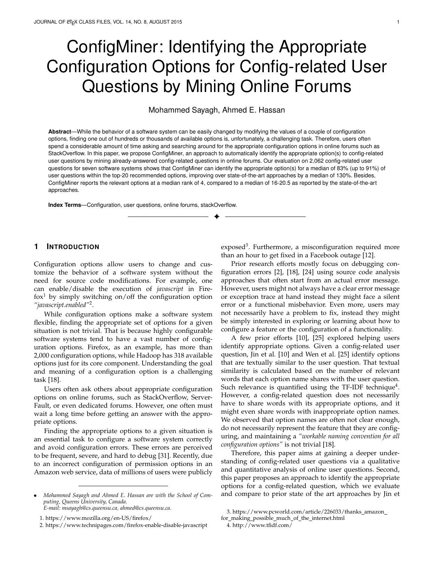

Fig. 1. An example of a StackOverflow question and its appropriate option.

question. While Jin et al. [10] considered a user question as the title of a question asked in an online forum, Wen et al. [25] considered a user question as the title and the body of a bug report. More details about their proposed approach are discussed in Section 5.

We believe that approaches which identify the appropriate options using their constituting words can face some limitations. As discussed earlier, an option might not necessarily share words with the user question, a question can contain words that are common with other unrelated options, and developers may not follow a clear naming convention such that option names expressively represent what they configure. For example, none of the words that constitute the appropriate option *"bidi.browser.ui"* exists in the user question of Figure 1.

Already-answered questions might have previously solved a question that is similar to the new config-related question. Therefore, we propose an approach that learns from already-answered questions to identify the appropriate options for a new config-related question. Section 4 details our approach that we evaluate and compare to PrefFinder and CoLUA, which are the baseline approaches by Jin et al. [10] and Wen et al. [25] in Section 6.

# **2.4 Duplicated Bug Reports and StackOverflow Questions**

Another related line of research focuses on detecting duplicated bug reports or StackOverflow questions. For example, Zhang et al. [34] proposed an approach that predicts if a new StackOverflow question is duplicated using a classification algorithm and different textual similarity algorithms (e.g., doc2vec, and topical similarity). Ahasanuzzaman et al. [1] extended Zhang et al.'s work by considering additional features for the classification algorithm. Fu and Menzies [7] found that a simple method (Word embedding using word2vec and SVM) can quickly achieve similar (and sometimes better) results compared to a more sophisticated approach (Word embedding and convolution neural network, which was proposed by Xu et al. [29]) for identifying the semantic link between two StackOverflow questions. Sun et al. [21] used the IDF part of the TF-IDF technique and a classification model to identify duplicate bug reports. Boisselle et al. [4] used TF-IDF to identify duplicate bug reports cross the bug repositories of related projects (e.g., Ubuntu and Debian).

Our paper is different from this line of work. Our goal is not to propose a novel approach that identifies duplicate or similar questions or bug reports. We instead evaluate if using already-answered questions can help identify the appropriate options for a new config-related question, while any of the previous textual similarity approaches can be plugged to our approach as discussed in Section 4.

# **3 UNDERSTANDING CONFIG-RELATED QUES-TIONS ON ONLINE FORUMS**

This section studies config-related questions on online forums, such that we can identify if there is a need for an automated approach to identify the approrpiate option for a config-related question then design an approach that identifies the appropriate options for a new config-related question. To achieve this goal, we conducted a qualitative and quantitative analysis to understand the types of configrelated questions that users ask on online forums, and the elapsed time before these questions receive an answer.

#### **3.1 Data Selection**

In this paper, we focus on seven software systems (listed in Table 1) and their respective config-related questions that are asked on StackOverflow, ServerFault, and Firefox forums. We focus on these systems since they are popular systems and have a large number of configuration options. We study questions on StackOverflow and ServerFault given their respective popularity among StackExchange forums<sup>5</sup>. We also study questions on the Firefox Forum as it is a wellstructured website that we can easily crawl. We used the following criteria to obtain config-related questions:

> **Criterion 1:** For StackOverflow and ServerFault, we selected questions whose tags refer to one of the studied software systems. For example, the question shown in Figure 1 is tagged with *"firefox"*.

> **Criterion 2:** We selected questions whose **accepted answer** contains a configuration option name, such that we can focus on questions that are addressed by configuration options (config-related questions). For Firefox Forum, we selected the **chosen answer**

5. https://stackexchange.com/sites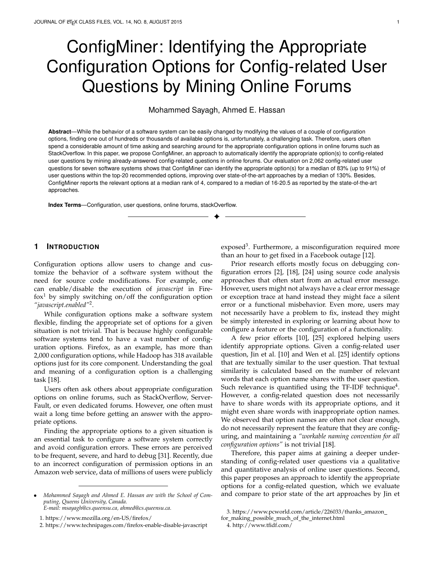TABLE 1 Evaluated Software Systems. SO and SF refers to StackOverflow and ServerFault respectively.

| Software            | Description                                                                          | Number  | Number of | Number    | Data Source                                  |
|---------------------|--------------------------------------------------------------------------------------|---------|-----------|-----------|----------------------------------------------|
| System $\downarrow$ |                                                                                      | οf      | Discussed | of        |                                              |
|                     |                                                                                      | Options | Options   | questions |                                              |
| Cassandra           | A NoSOL Database                                                                     | 162     | 64        | 246       | SO $(240)$ and SF $(6)$                      |
| Firefox             | A web browser                                                                        | 2,165   | 252       | 789       | Firefox Forum (627),<br>SO (160), and SF (2) |
| Hadoop              | The common core of Hadoop that supports var-<br>ious modules such as MapReduce       | 318     | 35        | 175       | SO (172) and SF (3)                          |
| <b>HDFS</b>         | A distributed file system                                                            | 426     | 54        | 143       | SO (141) and SF (2)                          |
| MapReduce           | A framework used to distribute the processing<br>of big data to multiple environment | 207     | 60        | 152       | SO (152) and SF (0)                          |
| Spark               | A distributed computing framework                                                    | 217     | 109       | 426       | SO (425) and SF (1)                          |
| Yarn                | A framework that schedules distributed jobs                                          | 397     | 41        | 131       | SO (131) and SF (0)                          |
| Total               |                                                                                      | 3,892   | 615       | 2,062     |                                              |

which is the equivalent to **accepted answer** in Stack-Exchange forums. For example, *"bidi.browser.ui"* is the appropriate option for the config-related question in Figure 1 as the accepted answer mentions that option. We used the accepted answers since they represent the best solution for a question<sup>6</sup>. Note that we obtained the list of all available option names from the official documentation of each of our studied software systems.

We obtained 2,519 questions that respect the previous criteria from the whole data set of StackOverflow, Server-Fault, and the 24,875 last questions in Firefox forum.

In addition to considering an option as appropriate to a question when that option is mentioned in the accepted answer, we also applied two additional criteria on the appropriate options for a question:

> **Criterion 3:** We ignore options that are mentioned inside a long snippet of code because the answerer can mention an option which does not specifically address the question. Thus, we ignore snippets with more than 20 lines of code. 82 questions are excluded due to this criterion. 6 accepted answers mention just a subset of the options in large code snippets.

> **Criterion 4:** We do not consider an option as appropriate when it is mentioned in the question as well as the accepted answer. That is because we observed cases where users have just typos in their configuration files and the accepted answer simply highlights that typo. In other cases, users already know their appropriate options but do not know how to change their values or the location of the configuration files. 357 config-related questions are excluded by this criterion, where 117 questions have some of the answers' options within the questions.

Our final data set contains 2,062 out of 2,519 questions with their respective appropriate option as shown in Table 1. Similar to Xu et al. [30], we observed that users do not discuss all the configuration options of a software system, although the number of discussed options is not negligible (between 35 of 252) as shown in Table 1.

### *3.1.1 Data Selection for the Qualitative Analysis*

Our qualitative study focuses on 298 config-related questions and their accepted answers. Initially, we selected a representative random and weighted (by the number of questions for each case study) sample of 324 from the 2,062 questions (confidence level = 95%; confidence interval =  $5\%)^7$ , from which we manually filtered out 26 questions that are not related to configuration, ending up with 298 config-related questions. The accepted answers of those 26 questions do mention an option, but it is not appropriate to the question. That said that our data selection approach has an accuracy of 92% 5% (298/324) for automatically identifying config-related questions. Section 3.2 provides and discusses the results of this manual analysis.

## *3.1.2 Data Selection for the Quantitative Analysis*

The goal of our quantitative analysis is to measure the elapsed time to receive the appropriate option(s) to a configrelated question with the goal to evaluate whether receiving an answer from an online forum is time-consuming and whether the types of config-related questions (identified in the qualitative study) are as time-consuming as each other and require similar attention. Concretely, we measure the time between the creation date of the question and the creation date of its accepted answer. Our analysis considers the 2,062 questions as well as the 298 manually studied questions.

We also compare if there are any differences between the elapsed time to receive the accepted answer cross the 7 different case studies, StackExchange forums, and types of config-related questions using the Wilcoxon test. It is a nonparametric statistical test that compares whether the distributions of two groups are statistically different. A small p-value (lower than ) in this context indicates that the probability that the two distributions are similar is low. Hence, if the p-value is lower than , we conclude that the two distributions are statistically different [19].

<sup>6.</sup> https://stackoverflow.com/help/someone-answers

<sup>7.</sup> Confidence level and confidence interval indicate how confident one can be about the statistical results that he obtained from a sample. In a simple way, if we repeat the same experiment on 95% (Confidence level) of the possible samples, we obtain the same statistical results with a margin-error of  $\pm 5\%$  (Confidence interval) [19].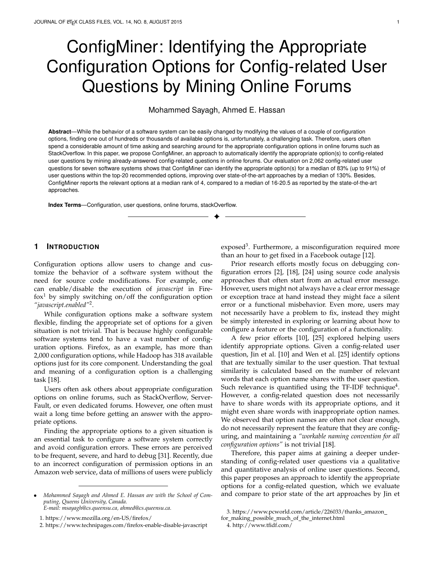

**Body**: *When I use Fierfox I have noticed when I'm using my mouse to scroll the page I'm on the page tends to stick or not move for a moment. I just tried IE and no problem there. I was even on the same page and Firefox still trends to hang up. Anyone can help me out?*

*Note that the website is mad with classic asp.*

Fig. 2. An example of an error without any explicit message.



Fig. 3. The distribution of the types of config-related questions.

## **3.2 Types of Config-related Questions**

**Users ask different types of config-related questions that are not necessarily addressable by state of the art techniques that use source code analysis techniques**. We observe from our qualitative analysis on 298 config-related questions that the most common category (69%) of questions are errors, which we further classified into two subcategories. As shown in Figure 3, the largest (36%) type of errors are those for which the asker have an explicit error messages, warnings, or exception traces. The second largest category (25%) are errors for which the asker did not have any explicit error message, warning, or exception trace. 87% of this last type of config-related questions are related to functional misbehavior and 13% are related to performance degradation. Figure 2 shows a concrete example of a Firefox misbehavior question, which did not have any particular error message. Note that we were not able to classify 23 (8%) errors in these two categories from their textual descriptions.

We found a significant number of config-related questions (31%) that are not problems, but simply inquiries about how to configure a functionality, or enable/disable a feature. Figure 4 shows a concrete example in which the asker inquiries about how to disable the drop-down menu in the address bar of Firefox.

# **3.3 Elapsed Time for the Accepted Answer for a Config-related Question**

**Config-related questions receive their accepted answer in 4.75 hours (median)** based on our analysis to our 2,062 config-related questions. This median ranges from 2.96 to 17 hours for Firefox and Yarn questions. Besides, we did not observe any statistically significant differences between the elapsed time to get the appropriate option through all the 7 case studies (Wilcoxon test;  $p$ -value  $> 0.019$ ; = 0.01). However, one might receive a faster answer via Firefox forum compared to StackOverflow (2.67 and 9.17 hours respectively). Note that this last difference is statistically significant (Wilcoxon test;  $p$ -value = 4.824e-05; = 0.01).

**Prior research efforts studied configuration errors with an explicit message, while the two other types of config-** **Title**: How to completely disable the drop-down menu in the address bar?

**Body**: I'd like Mozilla to not show me anything when I use the address bar, other than what I type into it*.*

Fig. 4. An example of *"how-to-do"* config-related question.



Fig. 5. The differences between ConfigMiner and the baseline approaches (PrefFinder and CoLUA).

**related questions are also as common and as timeconsuming as that first type of config-related questions.** Our investigation on the 298 manually studied questions shows that all three types of config-related questions require similar elapsed time to receive their accepted answer (Wilcoxon test, *p-value*  $> 0.5$ ; = 0.01). Surprisingly, we did not find any statistically significant difference between the time required to identify the appropriate option for errors with an explicit message and errors without an explicit message (Wilcoxon test, *p-value = 0.5; = 0.01*), although one would intuitively expect that an explicit message would help users find the appropriate option faster. We also observe that errors with an explicit message are as timeconsuming as *how-to-do* type of questions (Wilcoxon test, *p-value = 0.6; = 0.01*). That suggest that even if one might receive an accurate answer in an online forum, it is still timeconsuming for the three types of config-related questions.

There are three types of config-related questions, two (errors with explicit message and how-to-do questions) of which might not be addressed by a source code analysis approach. These two categories are common and require similar amount of time to be correctly answered compared to errors with explicit message.

# **4 OUR APPROACH FOR IDENTIFYING THE APPRO-PRIATE OPTIONS TO A CONFIG-RELATED QUESTION**

We propose an approach that learns from already-answered config-related questions to identify the appropriate options for a new config-related question. We refer to our approach as ConfigMiner, which we discuss in this section first before presenting our baseline approaches in the next Section.

## **4.1 ConfigMiner**

ConfigMiner follows three main steps to recommend the appropriate options for a config-related question, as shown in Figure 5. ConfigMiner textually compares **a new configrelated question (the input)**, which consists of a title and a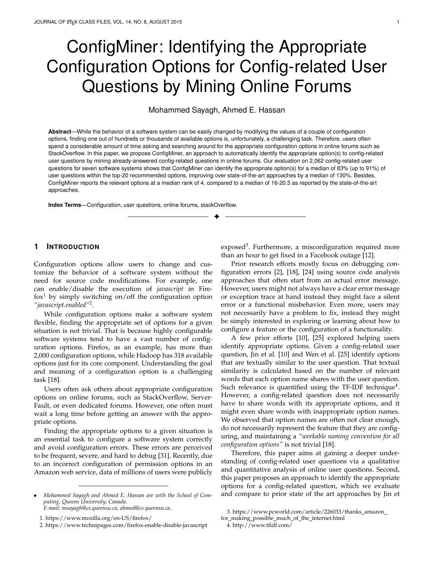#### **New config-related question:**

**Title**: *How do I suppress the pop up notification "Firefox is full screen"?* Body: I know it is full screen, I want it full screen, I know how to exit full screen, I simply *don't want a reminder to constantly flash up each time I access a control near the top of the screen. Actually website support has told me it is a common complaint they have been asked multiple times, and requested I share any solution I find. […]*

| Question 1:                                                                                                                                                                                                                                    | A set of three already-answered<br>questions with their respective<br>appropriate options.                                                                                                                                       |  |  |  |  |
|------------------------------------------------------------------------------------------------------------------------------------------------------------------------------------------------------------------------------------------------|----------------------------------------------------------------------------------------------------------------------------------------------------------------------------------------------------------------------------------|--|--|--|--|
| Title: how do i turn off the request to<br>confirm navigation away from this page                                                                                                                                                              |                                                                                                                                                                                                                                  |  |  |  |  |
| <b>Body:</b> How does one disable the<br>annoying confirm navigation request?                                                                                                                                                                  | <b>Question 3:</b>                                                                                                                                                                                                               |  |  |  |  |
| Options: dom.disable beforeunload                                                                                                                                                                                                              | Title: Kaspersky is the Very Best<br>Security on the Internet, and You Will                                                                                                                                                      |  |  |  |  |
| Question 2:                                                                                                                                                                                                                                    | Not let me use it on Firefox ??                                                                                                                                                                                                  |  |  |  |  |
| Title: how does one disable the full screen<br>message in firefox v56.0.1<br>Body: When entering full screen mode,<br>one is prompted with a message alerting<br>that you have entered full screen mode.<br>How does one disable this message. | Body: Kaspersky is the Very Best<br>Security you can get!!<br>Norton<br>(Symantec) and Checkpoint<br>(ZoneAlarm) are junk - They both load<br>down your HDD with cache files<br>forever, and Do Not let you delete<br>them! $[]$ |  |  |  |  |
| <b>Options:</b> full-screen-api.warning.delay<br>and full-screen-api.warning.timeout                                                                                                                                                           | Options: xpinstall.signatures.required                                                                                                                                                                                           |  |  |  |  |

Fig. 6. Example of a new question and a sample of three alreadyanswered questions with their respective appropriate options (solution). In this example, the most similar question to the new question is Question 2. Therefore, we first recommend its appropriate options (*"fullscreen-api.warning.delay"* and *"full-screen-api.warning.timeout"*).

body, to a set of already-answered config-related questions. It sorts these questions based on their textual similarities to the new question. Finally, **it outputs a set of appropriate option(s)** to the new question. The list of options respects the same order of their respective questions.

Figure 6 shows an example of a new question and a sample of already-answered config-related questions with their respective solutions (i.e., appropriate options). The question and each of the three questions is represented by a title and the body of the question. Furthermore, each of these three questions is associated with its appropriate option(s). For example, the *"dom.disable beforeunload"* option is appropriate to Question 1.

For the same example and based on a textual similarity between that new config-related question and each of the already-answered config-related questions, ConfigMiner finds that Question 2 is the most similar to the new question. Indeed, they are both about how to disable the full-screen warning message. Therefore, the two options of Question 2 are recommended to address the new question.

**A.1. Data Collection:** We collected the config-related questions by following the same approach and the four criteria that we discussed in Section 3.

**A.2. Textual Similarity:** ConfigMiner uses natural language processing (NLP) techniques to calculate the textual similarity between a new config-related question and the already-answered config-related questions (note that ConfigMiner considers both the title and body of a configrelated question). While one can calculate textual similarity using different techniques, we opted for using the TF-IDF technique to calculate the textual similarity in this paper for two main reasons. (1) As noted by Fu and Menzies [7] and Liu et al. [14], one should evaluate simple techniques first, since they can report the same (and sometimes better) results compared to more sophisticated techniques. In fact, we evaluated as two additional textual state-of-theart embedding techniques (the doc2vec [13] and the universal sentence encoder techniques [5]) and TF-IDF outperformed both of these techniques. (2) In addition, using TF-IDF to measure the similarity enables us to perform a more systematic comparison of our approaches performance relative to our baseline approaches (which both use TF-IDF). Hence, we are able to evaluate one variance (using the already-answered questions versus the configuration options names), as shown in Figure 5. Finally, we note that one can plugin any existing or new textual similarity techniques to our approach.

**a. Preprocessing Data:** Our first preprocessing step consists of removing stop-words such as *"and"*, *"I"*, or *"does"* as well as large source code snippets (at least 20 lines of code).

After removing stop-words, we stemmed all the tokens such that TF-IDF does not consider similar words as different tokens. As a word can be used in different forms, we stemmed all the tokens of our conversations. For example, *"disabled"*, *"disables"*, and *"disabling"* refer to the same word, which is *"disable"*. Therefore, the stemming transforms all the previous four words to a single token that is *"disabl"*.

**b. Embedding:** TF-IDF first transforms a document to a set of words, each of which has a weight that depends on its frequency in the whole corpus of documents, such that frequent words have less importance compared to particular words to a given conversation. For example, a token like *"browser"* is not appropriate to a specific conversation in Firefox questions as it might appear in a large number of questions, while a token like *"Kaspersky"* can be more specific to a particular Firefox question. Thus, TF-IDF gives a high weight to *"Kaspersky"* and a low weight to *"browser"* using the following equation:

$$
idf_{term} = log(\frac{N}{df_{term}}) + 1
$$
 (1)

where *N* refers to the number of documents (forum questions) and *df*term (i.e., *document frequency*) to the number of questions that contain *"term"*.

Furthermore, for a given document TF-IDF gives more weight to a term that is mentioned multiple times and less weight to infrequent terms in a given document *"d"* following this equation:

$$
tidf_{term;d} = tf_{term;d} \quad idf_{term} \tag{2}
$$

Finally, TF-IDF normalizes the weight of a token based on the length of a document using this equation:

$$
weight_{term;d} = \frac{tfidf_{term;d}}{\sqrt{\sum tfidf_{term;d}^2}} \tag{3}
$$

Thereby, each document (i.e., question) is embedded into a numerical vector that represents its tokens with their respective weights.

**c. Calculating the Similarities:** Finally, the similarity score between a config-related question and each of the already-answered questions is the cosine similarity between their two respective vectors, which is defined as:

$$
similarity(d1; d2) = \frac{d1 \, d2}{j/d1 \, j \, j \, j d2 \, j}
$$
 (4)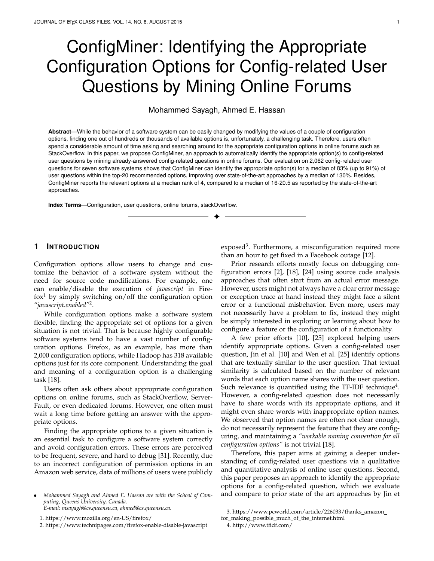## **5 THE BASELINE APPROACHES**

We consider PrefFinder [10] and CoLUA [25] as well as a Google based search as baseline approaches.

# **5.1 PrefFinder and CoLUA**

While ConfigMiner compares a question to alreadyanswered config-related questions, **PrefFinder [10] and CoLUA [25] compare the textual similarity between a question and each of the existing configuration option names**, as shown in Figure 5. The baseline approaches do not consider the already-answered questions. They consider that the more an option name is similar to the question, the more appropriate that option is to that question. In other words, a TF-IDF document for the baseline approaches is an option name, while our TF-IDF document is a question or an already-answered question for ConfigMiner.

Apart, the baseline approaches follow the same TF-IDF technique that we described before with some additional data preprocessing and using a different similarity equation, which we detail in the remaining of this subsection.

While PrefFinder considers just the title of questions, CoLUA considers the title as well as the body.

**a. Prepocessing Data:** While our approach compares the similarity between a question and already-answered questions, the baseline approaches compare the question and each of the existing option names. That said, an option name should be represented by a vector based on the constituting words of that configuration option name.

A typical option name is a set of attached words (1) separated by a delimiter such as  $dot(.)$ , dash $(-)$ , or underscore $(.)$ , (2) follows a camel case, or (3) attached without any explicit separator. While a simple split algorithm can easily split the first two patterns, the third one is not straightforward. For example, *"browser.warnOnQuit"* can be easily split to *"browser warn On Quit"* considering the delimiter (dot) and the camel case. However, the token *"beforeunload"* in the configuration option name *"dom.disable beforeunload"* is difficult to split to *"before unload"*.

To address such cases, Jin et al. [10] adopted the *"backward greedy algorithm"*, which shows accurate splitting results [9]. We refer to the work of Jin et al. [9] for more details about the algorithm and its evaluation.

Similarly to our approach, we also performed stopwords removal, large snippets of code removal, and stemming of option tokens as well for the question.

**b. Embedding:** The baseline approaches use the same embedding approach that ConfigMiner uses, however on option names and their tokens (that are obtained from the prepossessing step) and not on the config-related question as our approach does.

**c. Calculating the Similarities:** Jin et al. [10] and Wen et al. [25] compare a question to configuration option names based on this equation:

$$
sim(q; o) = \sum weight_{t_i; o} occ(t_i; q)
$$
 (5)

where *occ* refers to the number of occurrences of a term in the input question.

Wen et al. [25] considers the title and the body of a bug report (config-related question) so they can maximize the chances of finding the appropriate option, while Jin et al. [10] used just a config-related questions title and extended it with the synonyms of each word of that title by using WordNet [15]. Besides, Jin et al. [10] scale down the impact of these synonyms by slightly changing the previous equation as follow:

$$
sim(q; o) = \sum scale \ weight_{t_i; o} \ occ(t_i; q) \qquad (6)
$$

where *scale = 1* for the original words of the question and *scale = 0.4* for synonyms of these words. Jin et al. [10] have explored different values for that scale and found that scale of 0.4 reports the best results.

Finally, we sort options based on the textual similarity between each of these options' names and the question.

#### **5.2 Google Based Search**

In addition to the previous two baseline approaches, we also compare ConfigMiner to a basic Google search. We simulate a user asking his question by writing a couple of keywords on Google. We use for each of the 2,046 config-related questions the following keywords for Google searches:

> The title of each question. The first 15 non-stop and unique keywords. The first 32 non-stop and unique keywords. Note that we cannot use the whole question since Google search has a limit of 32 keywords.

We limit our search results to StackOverflow for each of our seven case studies, while we use StackOverflow and Firefox forum websites for Firefox config-related questions. We select the top 20 search results that do not point to the question itself.

Once the StackOverflow and Firefox forum links are obtained, we crawl Firefox pages and extract StackOverflow questions. Then, we associate to each obtained question its appropriate options using the same approach of Section 3.1. Note that the rank of an option corresponds to the rank at which Google reports the link to the StackOverflow (or Firefox forum) thread whose accepted answer mentions that option. For example, an option has a rank of 3 if Google reports its associated StackOverflow or Firefox forum link at rank 3.

#### **6 EMPIRICAL EVALUATION**

We evaluate ConfigMiner on the 2,062 config-related questions (**Dataset 1**) that are shown in Table 1. For our evaluation, we used the preprocessed title of a question and its words synonyms for PrefFinder while we use the preprocessed title and body of questions for CoLUA and ConfigMiner. In addition, we evaluate ConfigMiner and the baseline approaches on the 275 config-related questions (**Dataset 2**) that we were able to manually classify into one of three types of questions (Section 3.2). We structured our evaluation using the following research questions:

*RQ1* How accurate is ConfigMiner compared to the baseline approaches on identifying at least one appropriate option?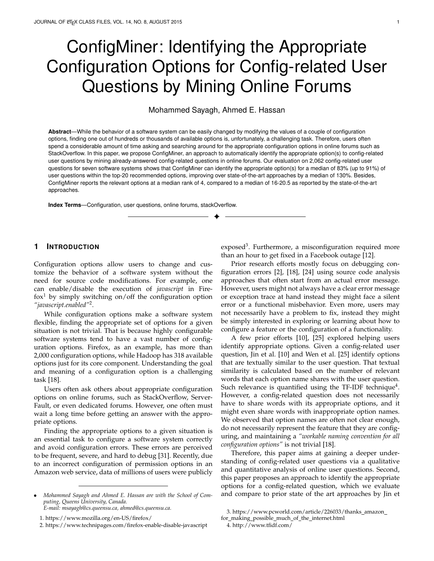- *RQ2* How much does ConfigMiner's accuracy vary across the three types of config-related questions?
- *RQ3* How much time is ConfigMiner likely to save?

# **6.1 Results:**

*RQ1* How accurate is ConfigMiner compared to the baseline approaches on identifying at least one appropriate option?

**Motivation:** We aim to evaluate the effectiveness of ConfigMiner in identifying at least one appropriate compared to our baseline approaches.

**Approach:** Our evaluation consists of identifying how many questions (in Dataset 1) for which ConfigMiner is able to identify the appropriate options. Since our approach assumes the existence of a database of already-answered config-related questions, we treat, in our evaluation, each of the already-answered config-related questions of a case study as a new question and calculates its similarity to the rest of the questions using the ConfigMiner approach. For example, for each of the 789 Firefox questions, our approach calculates its similarity to each of the remaining 788 questions to recommend their respective solutions. Concretely, we evaluate our approach using the following metrics:

**- Accuracy at 1, 5, 10, and 20:** We first calculate the percentage of questions for which ConfigMiner and the baseline approaches identify at least one appropriate option within the top 5 identified options (i.e, accuracy at 5). For example, ConfigMiner can have an accuracy at 5 of 80% if it is able to identify one appropriate option for 80% of the config-related questions within the top-5 identified options. We similarly obtain the accuracy at 1, 10, and 20.

*- Bootstrap sampling:* We calculate the accuracy at 1, 5, 10, and 20 on 2,000 different bootstrap samples to mitigate the errors within the 2,062 config-related questions and to produce statistically robust conclusions similar to prior work [20], [22], since bootstrap resampling produces more accurate estimates [23]. The errors within our dataset consist of questions that are not related to configuration but that were accidentally selected using the approach of Section 3. To mitigate this problem, we calculate the accuracy of ConfigMiner and the baseline approaches using 2,000 bootstrap samples. We use the following steps:

> We select a bootstrap sample whose size is equal to the number of questions of a given case study (e.g., a bootstrap sample of 789 Firefox questions).

> We calculate the accuracy at 1, 5, 10, and 20 of that obtained sample using Google search, PrefFinder, CoLUA, and ConfigMiner.

> We repeat the same process 2,000 times to obtain at the end an accuracy distribution, for which we report the median of the accuracies obtained.

We measure the overall improvement of our approach over the baseline approaches using the following equation:

**- Rank at which the appropriate options are reported:** While the previous accuracy measure evaluates the number

of questions for which we are able to identify the appropriate option within the top 1, 5, 10, and 20 identified options, we also evaluate the ranks at which these appropriate options are reported. If an already-answered question has more than one appropriate option, ConfigMiner reports all of them in a random order. Note that we do not report the rank at which the Google approach identifies an option since our search is limited to just the top 20 websites.

To mitigate the risk of errors on config-related questions, we also followed a bootstrap approach to calculate the ranks. Mainly, we use the following steps:

> We select a bootstrap sample whose size is equal to the number of a case study questions.

> We calculate the statistically significant difference between the ranks that ConfigMiner, PrefFinder, and CoLUA found (using Wilcoxon test). We also calculate the median rank obtained by each of the three approaches.

We repeat the same process 2,000 times.

We see if our findings are consistent by counting how often the differences between the rank that are reported by the three approaches were significant.

**Results: ConfigMiner outperforms prior approaches by a median of 130% (for the accuracy at 20) for identifying at least one appropriate option for a config-related question**. As shown in Table 2, ConfigMiner outperforms the baseline approaches on the evaluated accuracy at 1, 5, 10, and 20. Furthermore, ConfigMiner is statistically more accurate compared to the baseline approaches on all the config-related questions of the 7 case studies (Wilcoxon test; p-values  $< 2.2e-16$ ; = 0.01). Note that we calculated the statistically significant differences between the accuracy distribution that we obtained using bootstrap samples.

**ConfigMiner significantly improves the rank at which the appropriate options are reported for the questions that are related to five and six out of seven software systems compared to PrefFinder and CoLUA respectively.** While we did not find any case study for which one of the two baseline approaches outperforms ConfigMiner, we were not able to improve the rank for Cassandra and MapReduce, as shown in Table 3, although ConfigMiner is still more accurate compared to both baselines on these case studies.

ConfigMiner reports the appropriate options at a median rank of 4, compared to a median rank of 17 and 20 that are reported by PrefFinder and CoLUA. As shown in Table 4, our approach improves the median rank from 16 to 4 and from 111.5 and 75 to just 5 for Yarn questions compared to CoLUA and PrefFinder respectively.

ConfigMiner is more accurate compared to the baseline approaches and reports options at a lower median rank of just 4.

**RQ2** How much does ConfigMiner's accuracy vary across the three types of config-related questions?

**Motivation:** The goal of this research question is to evaluate if the accuracy of ConfigMiner is consistent through the three types of config-related questions.

**Approach:** We evaluate the effectiveness of ConfigMiner and the baseline approaches on the 275 config-related questions (Dataset 2) that we manually classified as one of three

The median accuracy of ConfigMiner The median accuracy of the best performing baseline approach 1 (7)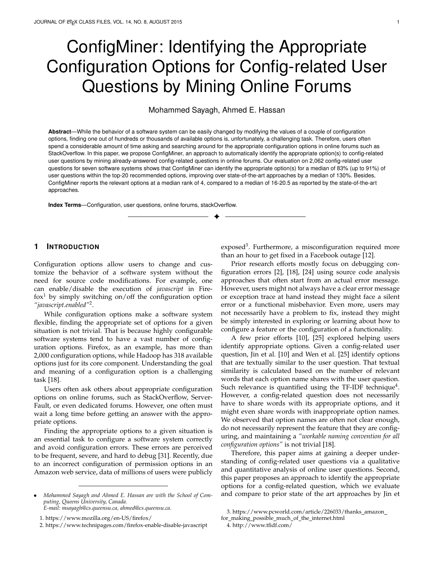TABLE<sub>2</sub>

The Accuracy of ConfigMiner Compared to the Baseline Approaches. Note that we report just on the best Google search strategy.

|             |        |       | Accuracy at 1 |         |        |       | Accuracy at 5 |           | Accuracy at 10 |       |        | Accuracy at 20 |        |       |        |           |
|-------------|--------|-------|---------------|---------|--------|-------|---------------|-----------|----------------|-------|--------|----------------|--------|-------|--------|-----------|
|             | Pref-  | CoLUA | Google        | Config- | Pref-  | CoLUA | Google        | $Config-$ | Pref-          | CoLUA | Google | Config-        | Pref-  | CoLUA | Google | $Config-$ |
|             | Finder |       |               | Miner   | Finder |       |               | Miner     | Finder         |       |        | Miner          | Finder |       |        | Miner     |
| Firefox     | $4\%$  | 5%    | 6%            | 35%     | 10%    | 12%   | 16%           | 59%       | 14%            | 16%   | 19%    | 69%            | 18%    | 22%   | 23%    | 76%       |
| <b>HDFS</b> | 6%     | 12%   | $1\%$         | 28%     | 15%    | 25%   | 6%            | 61%       | 18%            | 32%   | 8%     | 73%            | 22%    | 40%   | 14%    | 79%       |
| Yarn        | $4\%$  | 5%    | 8%            | 20%     | 10%    | 18%   | 15%           | 58%       | 13%            | 24%   | 20%    | 73%            | 18%    | 36%   | 28%    | 85%       |
| Hadoop      | $1\%$  | $2\%$ | $1\%$         | 34%     | 6%     | 10%   | 7%            | 85%       | 7%             | 14%   | $11\%$ | 89%            | 9%     | 19%   | 16%    | 91%       |
| Spark       | 9%     | 14%   | 3%            | 20%     | 23%    | 36%   | 12%           | 57%       | 33%            | 49%   | 17%    | 72%            | 46%    | 63%   | 23%    | 83%       |
| MapReduce   | 11%    | 16%   | 3%            | 22%     | 23%    | 32%   | 7%            | 53%       | 30%            | 44%   | 9%     | 68%            | 33%    | 54%   | 16%    | 80%       |
| Cassandra   | $4\%$  | 8%    | $4\%$         | 32%     | 12%    | 18%   | 12%           | 66%       | 13%            | 25%   | 15%    | 76%            | 14%    | 32%   | 19%    | 88%       |
| Median      | $4\%$  | 8%    | 3%            | 28%     | 12%    | 18%   | 15%           | 59%       | 14%            | 25%   | 15%    | 73%            | 18%    | 36%   | 19%    | 83%       |

TABLE 3 The percentage of bootstrap samples that shows a statistically significant differences (using Wilcoxon test) between ConfigMiner and each of the two baseline approaches. Note that we did not observe in any of the 14,000 samples that one of the baseline approaches outperforms ConfigMiner's ranking results.

|             | ConfigMiner<br>vs PrefFinder | ConfigMiner<br>vs CoLUA |  |  |
|-------------|------------------------------|-------------------------|--|--|
| Cassandra   | 0.8%                         | 49%                     |  |  |
| Firefox     | 100%                         | 100%                    |  |  |
| Hadoop      | 100%                         | 100%                    |  |  |
| <b>HDFS</b> | 96%                          | 100%                    |  |  |
| MapReduce   | 47%                          | 100%                    |  |  |
| Spark       | 100%                         | 100%                    |  |  |
| Yarn        | 100%                         | 100%                    |  |  |

TABLE 4 Median rank at which appropriate options are reported.

|             | PrefFinder | CoLUA | ConfigMiner |
|-------------|------------|-------|-------------|
| Cassandra   | 3          | 6     |             |
| Firefox     | 16         | 24    | 3           |
| Hadoop      | 29         | 41    |             |
| <b>HDFS</b> | 8.5        | 20.5  |             |
| MapReduce   |            | 12    | 5           |
| Spark       | 22         | 15    |             |
| Yarn        | 111.5      | 75    | 5           |
| Median      | 16         | 20.5  |             |

types of config-related questions: questions about how to fix an error with an explicit error message, questions on how to fix errors without any explicit message, and how-to-do type of questions. Similarly to RQ1, we evaluate ConfigMiner, PrefFinder, CoLUA, and a Google based search using the 4 types of accuracy: Accuracy at 1, 5, 10, and 20.

**Results: ConfigMiner outperfrorms the baseline approaches on identifying the appropriate options for all of the three types of config-related questions.** We found that ConfigMiner outperforms the baseline approaches to find the appropriate options for questions that ask about how to fix an error with an explicit message, an error without explicit message, and how-to-do type of questions (as shown in Table 1, Table 2, and Table 3 in the Appendix). That improvement ranges between 64% and 228% for the accuracy at 20 and compared to CoLUA, whose results outperform PrefFinder and Google search's accuracy at 20. Cassandra 1988<br>
Threfox 100% 1998<br>
Hotop 100% 1998<br>
Hotop 100% 100% 100% Fig.<br>
Spark<br>
Spark<br>
Spark<br>
Spark<br>
To Spark<br>
To Spark<br>
To Spark<br>
To Spark<br>
To Spark<br>
To Spark<br>
Median rank at which appropriate options are reported.<br>

**The rank at which the appropriate options are reported is consistent across the three types of config-related ques-**

Type: ⇒ How-to-do ⇒ No explicit message ⇒ With explicit error message



Fig. 7. Rank (In log scale) at which ConfigMiner reports the appropriate options for each of the 3 categories of questions.

statistically significant differences between the three types of config-related questions related to each of the 7 case studies.



**RQ3** How much time is ConfigMiner likely to save?

**Motivation:** The goal of this research question is to evaluate the amount of time that is required by users on each identified configuration option by ConfigMiner until finding the appropriate one, such that ConfigMiner still outperforms asking the question in an online forum.

**Approach:** We used the "break even (BE)" metric that was proposed by Jin et al. [10]. It consists of measuring how much time does a user need to spend on investigating on each reported option (e.g., finding the possible values or understanding the descriptions) before finding the appropriate option. BE is defined as:

$$
BE = \frac{\text{Time to receive the accepted answer}}{\text{Rank of the appropriate option}} \tag{8}
$$

Similarly to RQ1, we calculate the BE over bootstrap samples to mitigate the risk of errors on our dataset of questions. Concretely, we follow these steps:

> We select a bootstrap sample similarly to RQ1. We calculate the BE metric for each question in the sample, and we select the median BE. We repeat the same process 2,000 times. Then, we report on the median of the whole samples.

To better understand the efforts required to type a whole question, we measure the textual length of our evaluated questions and their association with the rank at which ConfigMiner reports the appropriate option. Note that we use Dataset 1 questions in this research question.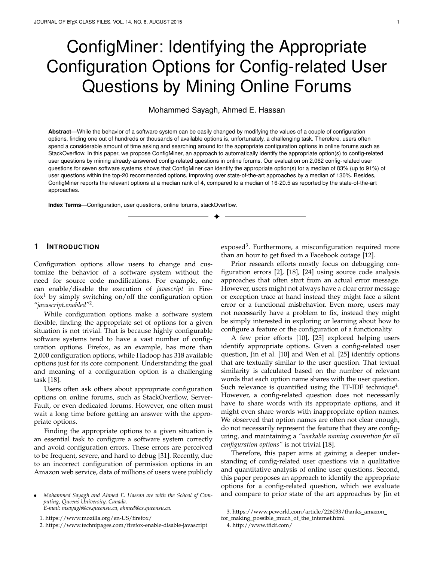TABLE 5

The break even metric for questions for which the appropriate option is reported at each of the following rank range. For example, if a user spend 95 minutes on each option before finding the appropriate option (which is reported at a rank between 2 and 5), our approach is still better than asking the question online.

|             | Any rank | $[1,1]$ | [2,5] | [6, 10] | [11,20] |
|-------------|----------|---------|-------|---------|---------|
| Cassandra   | 119      | 317     | 95    | 35      | 28      |
| Firefox     | 52       | 115     | 86    | 20      | 31      |
| Hadoop      | 172      | 250     | 159   | 10      | 44      |
| <b>HDFS</b> | 131      | 235     | 137   | 53      | 194     |
| MapReduce   | 109      | 180     | 213   | 26      | 91      |
| Spark       | 69       | 307     | 93    | 49      | 31      |
| Yarn        | 149      | 833     | 396   | 84      | 97      |
| Median      | 119      | 250     | 137   | 35      |         |

**Results: Even if a user spend a median of 119 minutes on each reported option by ConfigMiner, our approach can be still valuable**, as shown in Table 5. For example, if a user spend a median of 35 minutes on each option until finding the appropriate option that is reported at a rank that ranges between 6 and 10, our approach can still outperform asking the question in an online forum. Note that our analysis does not consider options that ConfigMiner is not able to report at any rank (7%). In addition, our analysis considers just the delay required to receive the accepted answer in an online forum, while users still need to spend further efforts on that accepted answer, such as understanding the answer or testing the suggested options.

**Finally, there is no correlation (Spearman correlation of 0.02) between the length of a config-related question and the rank at which the appropriate option is reported by ConfigMiner.** Our evaluated config-related questions have a median of 85 words (the source code snippets are not considered), out of which 41 are just stop-words. We also observe that ConfigMiner reports the appropriate option with a median rank of 2 for config-related questions that are less than 20 non-stop words. Therefore, we believe that typing a median of 44 non-stop words is more practical than waiting for an answer in StackOverflow for a median of 4.75 hours (as discussed in Section 3.3).

While the goal of our paper is to show that using the already-answered questions is more accurate than textually comparing a question to option names, future work should investigate how to improve the usability of ConfigMiner (e.g., how to leverage the already-answered config-related questions to provide a richer context to the suggested option). In addition, the documentation of a suggested option can be shown to help users better understand the suggested options, as proposed by Jin et al. [10].

Even if a user spend a median of 119 minutes on each option until finding the appropriate option, Config-Miner is still better than asking a question in an online forum and waiting for the answer.

# **7 DISCUSSION**

**While ConfigMiner is not able to identify the appropriate options for 7% of the config-related questions, the baseline**

| A config-related question that is not resolved by the baseline |
|----------------------------------------------------------------|
| approaches:                                                    |
| Title: No 4K resulution on youtube                             |
| Body: Some videos on youtube don't show the 4k resolution      |
| option under firefox and the only go up to 1080P but on chrome |
| they show all the resolutions:                                 |
| example video https://youtu.be/WU-NrfB8Kd4                     |
| I have flash installed as well                                 |
| The appropriate option: media.mediasource.webm.enabled         |

Fig. 8. A real example of a user-question that was not resolved by the baseline approaches.

**approaches missed a median of 67% and 29% of the config-related questions.** ConfigMiner is not able to identify options if they were never previously appropriate for any already-answered question, the number of such questions that ConfigMiner cannot address is 7% from the 17% of config-related questions for which ConfigMiner is not able to identify the appropriate option within the top-20. The accuracy of our approach might be improved by expanding our data set of config-related questions using other data sources (e.g., mailing lists or other forums).

The baseline approaches cannot find an appropriate option for a config-related question if they do not share any word with the question's title and body. The appropriate options for 67% and 29% config-related questions are not reported at any rank (even higher than 20) by PrefFinder and CoLUA respectively. The titles of the 67% config-related questions as well as their synonyms do not share any words with their appropriate options. Similarly, the title and body of the 29% config-related questions that are missed by CoLUA do not share any word with their appropriate options. Thus, the similarity between each of these missed config-related questions and their appropriate options is equal to zero. Figure 8 shows a concrete example of a configrelated question that is missed by both baseline approaches, as neither the title nor the body share any word with the appropriate option *"media.mediasource.webm.enabled"*, while ConfigMiner identifies that option at the first rank.

The baseline approaches are not accurate on the configrelated questions for which ConfigMiner did not find the appropriate options. For the 7% of config-related questions for which ConfigMiner is not able to identify the appropriate options, PrefFinder and CoLUA show an accuracy at 20 of just 28% and 42%.

Therefore, we believe that a direct combination of our approach and the baseline approaches might not be able to improve the accuracy of identifying the appropriate options. While extending our database of already-answered questions might improve the accuracy of our approach, the baseline approaches might be more appropriate for questions related to a new software system. While the most straightforward way to enrich that database is to use online forums, we can still leverage other sources such as bug reports, mailing lists, or relying on users feedback on ConfigMiner suggestions. Furthermore, even with few occurrences of an option in our database we are still able to identify the appropriate option since we observe a weak Spearman correlation (-0.23) between the popularity of an option (the number of questions for which an option is